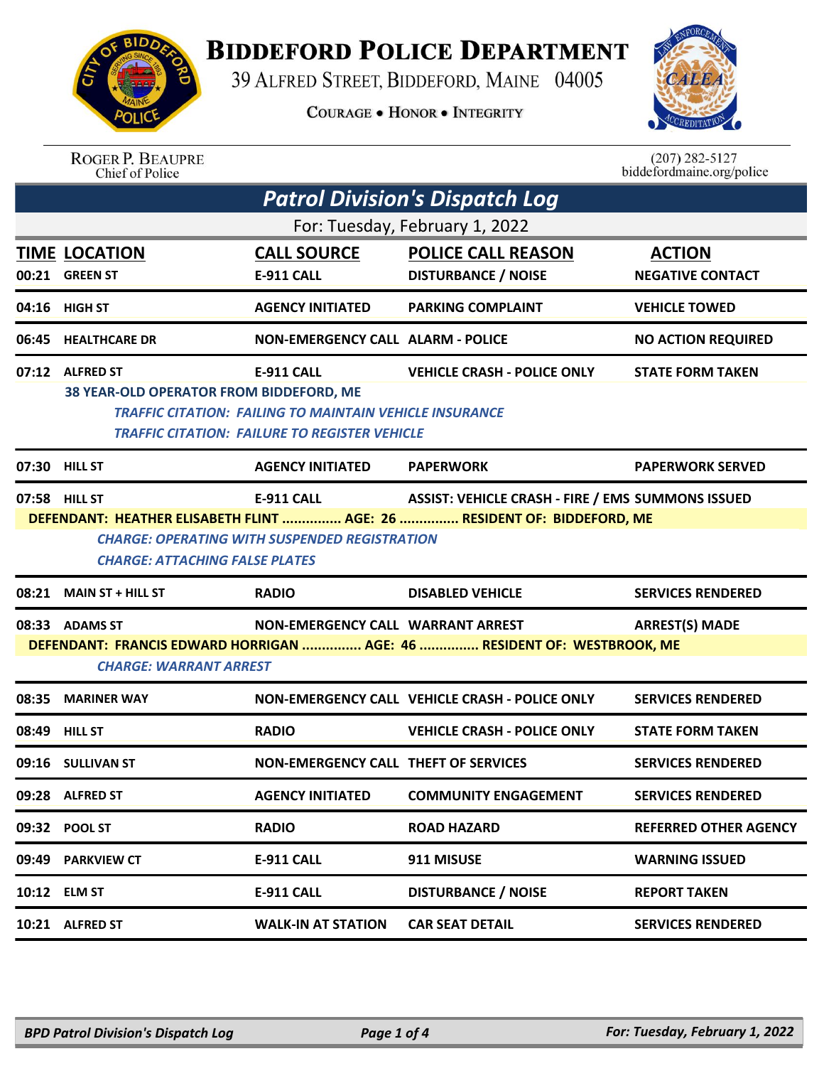

## **BIDDEFORD POLICE DEPARTMENT**

39 ALFRED STREET, BIDDEFORD, MAINE 04005

**COURAGE . HONOR . INTEGRITY** 



| <b>ROGER P. BEAUPRE</b> |
|-------------------------|
| Chief of Police         |

 $(207)$  282-5127<br>biddefordmaine.org/police

| <b>Patrol Division's Dispatch Log</b>                                                                                                                                                    |                                                                                                                                                                                                                                                                            |                                             |                                                         |                                          |  |  |  |  |
|------------------------------------------------------------------------------------------------------------------------------------------------------------------------------------------|----------------------------------------------------------------------------------------------------------------------------------------------------------------------------------------------------------------------------------------------------------------------------|---------------------------------------------|---------------------------------------------------------|------------------------------------------|--|--|--|--|
| For: Tuesday, February 1, 2022                                                                                                                                                           |                                                                                                                                                                                                                                                                            |                                             |                                                         |                                          |  |  |  |  |
|                                                                                                                                                                                          | <b>TIME LOCATION</b><br>00:21 GREEN ST                                                                                                                                                                                                                                     | <b>CALL SOURCE</b><br>E-911 CALL            | <b>POLICE CALL REASON</b><br><b>DISTURBANCE / NOISE</b> | <b>ACTION</b><br><b>NEGATIVE CONTACT</b> |  |  |  |  |
|                                                                                                                                                                                          | 04:16 HIGH ST                                                                                                                                                                                                                                                              | <b>AGENCY INITIATED</b>                     | <b>PARKING COMPLAINT</b>                                | <b>VEHICLE TOWED</b>                     |  |  |  |  |
| 06:45                                                                                                                                                                                    | <b>HEALTHCARE DR</b>                                                                                                                                                                                                                                                       | <b>NON-EMERGENCY CALL ALARM - POLICE</b>    |                                                         | <b>NO ACTION REQUIRED</b>                |  |  |  |  |
|                                                                                                                                                                                          | 07:12 ALFRED ST<br><b>E-911 CALL</b><br><b>VEHICLE CRASH - POLICE ONLY</b><br><b>STATE FORM TAKEN</b><br>38 YEAR-OLD OPERATOR FROM BIDDEFORD, ME<br><b>TRAFFIC CITATION: FAILING TO MAINTAIN VEHICLE INSURANCE</b><br><b>TRAFFIC CITATION: FAILURE TO REGISTER VEHICLE</b> |                                             |                                                         |                                          |  |  |  |  |
|                                                                                                                                                                                          | 07:30 HILL ST                                                                                                                                                                                                                                                              | <b>AGENCY INITIATED</b>                     | <b>PAPERWORK</b>                                        | <b>PAPERWORK SERVED</b>                  |  |  |  |  |
|                                                                                                                                                                                          | 07:58 HILL ST<br><b>ASSIST: VEHICLE CRASH - FIRE / EMS SUMMONS ISSUED</b><br><b>E-911 CALL</b><br>DEFENDANT: HEATHER ELISABETH FLINT  AGE: 26  RESIDENT OF: BIDDEFORD, ME<br><b>CHARGE: OPERATING WITH SUSPENDED REGISTRATION</b><br><b>CHARGE: ATTACHING FALSE PLATES</b> |                                             |                                                         |                                          |  |  |  |  |
|                                                                                                                                                                                          | 08:21 MAIN ST + HILL ST                                                                                                                                                                                                                                                    | <b>RADIO</b>                                | <b>DISABLED VEHICLE</b>                                 | <b>SERVICES RENDERED</b>                 |  |  |  |  |
| 08:33 ADAMS ST<br>NON-EMERGENCY CALL WARRANT ARREST<br><b>ARREST(S) MADE</b><br>DEFENDANT: FRANCIS EDWARD HORRIGAN  AGE: 46  RESIDENT OF: WESTBROOK, ME<br><b>CHARGE: WARRANT ARREST</b> |                                                                                                                                                                                                                                                                            |                                             |                                                         |                                          |  |  |  |  |
|                                                                                                                                                                                          | 08:35 MARINER WAY                                                                                                                                                                                                                                                          |                                             | NON-EMERGENCY CALL VEHICLE CRASH - POLICE ONLY          | <b>SERVICES RENDERED</b>                 |  |  |  |  |
|                                                                                                                                                                                          | 08:49 HILL ST                                                                                                                                                                                                                                                              | <b>RADIO</b>                                | <b>VEHICLE CRASH - POLICE ONLY</b>                      | <b>STATE FORM TAKEN</b>                  |  |  |  |  |
|                                                                                                                                                                                          | 09:16 SULLIVAN ST                                                                                                                                                                                                                                                          | <b>NON-EMERGENCY CALL THEFT OF SERVICES</b> |                                                         | <b>SERVICES RENDERED</b>                 |  |  |  |  |
|                                                                                                                                                                                          | 09:28 ALFRED ST                                                                                                                                                                                                                                                            | <b>AGENCY INITIATED</b>                     | <b>COMMUNITY ENGAGEMENT</b>                             | <b>SERVICES RENDERED</b>                 |  |  |  |  |
|                                                                                                                                                                                          | 09:32 POOL ST                                                                                                                                                                                                                                                              | <b>RADIO</b>                                | <b>ROAD HAZARD</b>                                      | <b>REFERRED OTHER AGENCY</b>             |  |  |  |  |
|                                                                                                                                                                                          | 09:49 PARKVIEW CT                                                                                                                                                                                                                                                          | <b>E-911 CALL</b>                           | 911 MISUSE                                              | <b>WARNING ISSUED</b>                    |  |  |  |  |
|                                                                                                                                                                                          | 10:12 ELM ST                                                                                                                                                                                                                                                               | E-911 CALL                                  | <b>DISTURBANCE / NOISE</b>                              | <b>REPORT TAKEN</b>                      |  |  |  |  |
|                                                                                                                                                                                          | 10:21 ALFRED ST                                                                                                                                                                                                                                                            | <b>WALK-IN AT STATION</b>                   | <b>CAR SEAT DETAIL</b>                                  | <b>SERVICES RENDERED</b>                 |  |  |  |  |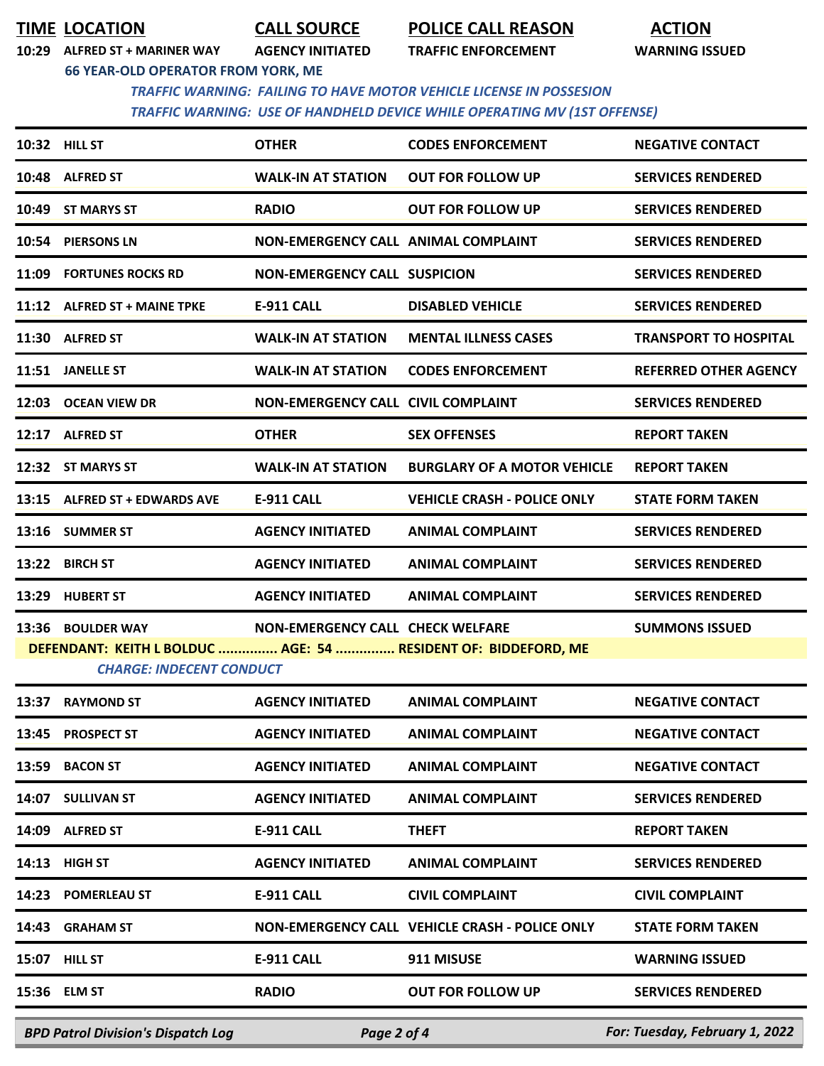**TIME LOCATION CALL SOURCE POLICE CALL REASON ACTION**

**10:29 ALFRED ST + MARINER WAY AGENCY INITIATED TRAFFIC ENFORCEMENT WARNING ISSUED**

**66 YEAR-OLD OPERATOR FROM YORK, ME**

 *TRAFFIC WARNING: FAILING TO HAVE MOTOR VEHICLE LICENSE IN POSSESION TRAFFIC WARNING: USE OF HANDHELD DEVICE WHILE OPERATING MV (1ST OFFENSE)* 

|                                                                                                   | 10:32 HILL ST                             | <b>OTHER</b>                        | <b>CODES ENFORCEMENT</b>                       | <b>NEGATIVE CONTACT</b>        |  |  |  |
|---------------------------------------------------------------------------------------------------|-------------------------------------------|-------------------------------------|------------------------------------------------|--------------------------------|--|--|--|
|                                                                                                   | 10:48 ALFRED ST                           | <b>WALK-IN AT STATION</b>           | <b>OUT FOR FOLLOW UP</b>                       | <b>SERVICES RENDERED</b>       |  |  |  |
|                                                                                                   | 10:49 ST MARYS ST                         | <b>RADIO</b>                        | <b>OUT FOR FOLLOW UP</b>                       | <b>SERVICES RENDERED</b>       |  |  |  |
|                                                                                                   | 10:54 PIERSONS LN                         | NON-EMERGENCY CALL ANIMAL COMPLAINT |                                                | <b>SERVICES RENDERED</b>       |  |  |  |
|                                                                                                   | 11:09 FORTUNES ROCKS RD                   | <b>NON-EMERGENCY CALL SUSPICION</b> |                                                | <b>SERVICES RENDERED</b>       |  |  |  |
|                                                                                                   | 11:12 ALFRED ST + MAINE TPKE              | <b>E-911 CALL</b>                   | <b>DISABLED VEHICLE</b>                        | <b>SERVICES RENDERED</b>       |  |  |  |
|                                                                                                   | 11:30 ALFRED ST                           | <b>WALK-IN AT STATION</b>           | <b>MENTAL ILLNESS CASES</b>                    | <b>TRANSPORT TO HOSPITAL</b>   |  |  |  |
|                                                                                                   | 11:51 JANELLE ST                          | <b>WALK-IN AT STATION</b>           | <b>CODES ENFORCEMENT</b>                       | <b>REFERRED OTHER AGENCY</b>   |  |  |  |
|                                                                                                   | 12:03 OCEAN VIEW DR                       | NON-EMERGENCY CALL CIVIL COMPLAINT  |                                                | <b>SERVICES RENDERED</b>       |  |  |  |
|                                                                                                   | 12:17 ALFRED ST                           | <b>OTHER</b>                        | <b>SEX OFFENSES</b>                            | <b>REPORT TAKEN</b>            |  |  |  |
|                                                                                                   | 12:32 ST MARYS ST                         | <b>WALK-IN AT STATION</b>           | <b>BURGLARY OF A MOTOR VEHICLE</b>             | <b>REPORT TAKEN</b>            |  |  |  |
|                                                                                                   | 13:15 ALFRED ST + EDWARDS AVE             | <b>E-911 CALL</b>                   | <b>VEHICLE CRASH - POLICE ONLY</b>             | <b>STATE FORM TAKEN</b>        |  |  |  |
|                                                                                                   | 13:16 SUMMER ST                           | <b>AGENCY INITIATED</b>             | <b>ANIMAL COMPLAINT</b>                        | <b>SERVICES RENDERED</b>       |  |  |  |
|                                                                                                   | 13:22 BIRCH ST                            | <b>AGENCY INITIATED</b>             | <b>ANIMAL COMPLAINT</b>                        | <b>SERVICES RENDERED</b>       |  |  |  |
|                                                                                                   | 13:29 HUBERT ST                           | <b>AGENCY INITIATED</b>             | <b>ANIMAL COMPLAINT</b>                        | <b>SERVICES RENDERED</b>       |  |  |  |
|                                                                                                   | 13:36 BOULDER WAY                         | NON-EMERGENCY CALL CHECK WELFARE    |                                                | <b>SUMMONS ISSUED</b>          |  |  |  |
| DEFENDANT: KEITH L BOLDUC  AGE: 54  RESIDENT OF: BIDDEFORD, ME<br><b>CHARGE: INDECENT CONDUCT</b> |                                           |                                     |                                                |                                |  |  |  |
|                                                                                                   | 13:37 RAYMOND ST                          | <b>AGENCY INITIATED</b>             | <b>ANIMAL COMPLAINT</b>                        | <b>NEGATIVE CONTACT</b>        |  |  |  |
|                                                                                                   | 13:45 PROSPECT ST                         | AGENCY INITIATED ANIMAL COMPLAINT   |                                                | <b>NEGATIVE CONTACT</b>        |  |  |  |
|                                                                                                   | 13:59 BACON ST                            | <b>AGENCY INITIATED</b>             | <b>ANIMAL COMPLAINT</b>                        | <b>NEGATIVE CONTACT</b>        |  |  |  |
|                                                                                                   | 14:07 SULLIVAN ST                         | <b>AGENCY INITIATED</b>             | <b>ANIMAL COMPLAINT</b>                        | <b>SERVICES RENDERED</b>       |  |  |  |
|                                                                                                   | 14:09 ALFRED ST                           | E-911 CALL                          | <b>THEFT</b>                                   | <b>REPORT TAKEN</b>            |  |  |  |
|                                                                                                   | 14:13 HIGH ST                             | <b>AGENCY INITIATED</b>             | <b>ANIMAL COMPLAINT</b>                        | <b>SERVICES RENDERED</b>       |  |  |  |
|                                                                                                   | 14:23 POMERLEAU ST                        | E-911 CALL                          | <b>CIVIL COMPLAINT</b>                         | <b>CIVIL COMPLAINT</b>         |  |  |  |
|                                                                                                   | 14:43 GRAHAM ST                           |                                     | NON-EMERGENCY CALL VEHICLE CRASH - POLICE ONLY | <b>STATE FORM TAKEN</b>        |  |  |  |
|                                                                                                   | 15:07 HILL ST                             | <b>E-911 CALL</b>                   | 911 MISUSE                                     | <b>WARNING ISSUED</b>          |  |  |  |
|                                                                                                   | 15:36 ELM ST                              | <b>RADIO</b>                        | <b>OUT FOR FOLLOW UP</b>                       | <b>SERVICES RENDERED</b>       |  |  |  |
|                                                                                                   | <b>BPD Patrol Division's Dispatch Log</b> | Page 2 of 4                         |                                                | For: Tuesday, February 1, 2022 |  |  |  |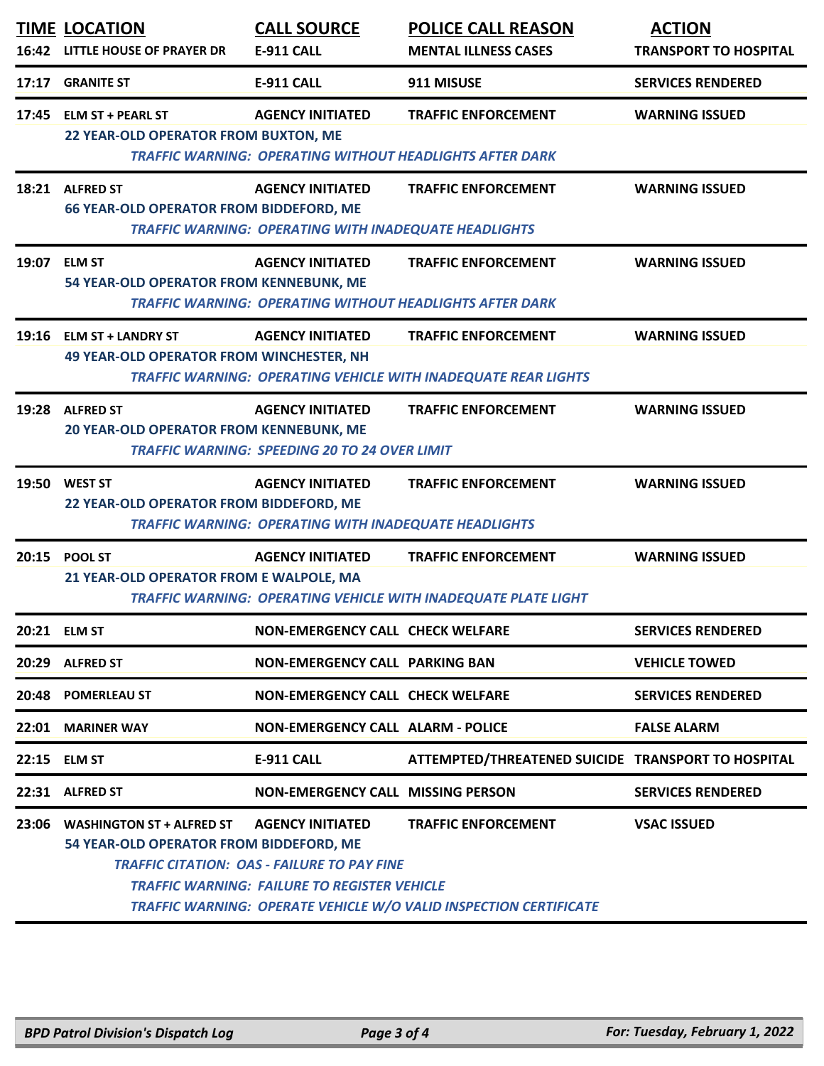| 16:42 | <b>TIME LOCATION</b><br><b>LITTLE HOUSE OF PRAYER DR</b>                    | <b>CALL SOURCE</b><br><b>E-911 CALL</b>                                                                                              | <b>POLICE CALL REASON</b><br><b>MENTAL ILLNESS CASES</b>                                            | <b>ACTION</b><br><b>TRANSPORT TO HOSPITAL</b> |
|-------|-----------------------------------------------------------------------------|--------------------------------------------------------------------------------------------------------------------------------------|-----------------------------------------------------------------------------------------------------|-----------------------------------------------|
| 17:17 | <b>GRANITE ST</b>                                                           | <b>E-911 CALL</b>                                                                                                                    | 911 MISUSE                                                                                          | <b>SERVICES RENDERED</b>                      |
| 17:45 | <b>ELM ST + PEARL ST</b><br>22 YEAR-OLD OPERATOR FROM BUXTON, ME            | <b>AGENCY INITIATED</b>                                                                                                              | <b>TRAFFIC ENFORCEMENT</b><br><b>TRAFFIC WARNING: OPERATING WITHOUT HEADLIGHTS AFTER DARK</b>       | <b>WARNING ISSUED</b>                         |
|       | 18:21 ALFRED ST<br><b>66 YEAR-OLD OPERATOR FROM BIDDEFORD, ME</b>           | <b>AGENCY INITIATED</b><br><b>TRAFFIC WARNING: OPERATING WITH INADEQUATE HEADLIGHTS</b>                                              | <b>TRAFFIC ENFORCEMENT</b>                                                                          | <b>WARNING ISSUED</b>                         |
| 19:07 | <b>ELM ST</b><br>54 YEAR-OLD OPERATOR FROM KENNEBUNK, ME                    | <b>AGENCY INITIATED</b>                                                                                                              | <b>TRAFFIC ENFORCEMENT</b><br><b>TRAFFIC WARNING: OPERATING WITHOUT HEADLIGHTS AFTER DARK</b>       | <b>WARNING ISSUED</b>                         |
|       | 19:16 ELM ST + LANDRY ST<br><b>49 YEAR-OLD OPERATOR FROM WINCHESTER, NH</b> | <b>AGENCY INITIATED</b>                                                                                                              | <b>TRAFFIC ENFORCEMENT</b><br><b>TRAFFIC WARNING: OPERATING VEHICLE WITH INADEQUATE REAR LIGHTS</b> | <b>WARNING ISSUED</b>                         |
| 19:28 | <b>ALFRED ST</b><br><b>20 YEAR-OLD OPERATOR FROM KENNEBUNK, ME</b>          | <b>AGENCY INITIATED</b><br><b>TRAFFIC WARNING: SPEEDING 20 TO 24 OVER LIMIT</b>                                                      | <b>TRAFFIC ENFORCEMENT</b>                                                                          | <b>WARNING ISSUED</b>                         |
|       | 19:50 WEST ST<br>22 YEAR-OLD OPERATOR FROM BIDDEFORD, ME                    | <b>AGENCY INITIATED</b><br><b>TRAFFIC WARNING: OPERATING WITH INADEQUATE HEADLIGHTS</b>                                              | <b>TRAFFIC ENFORCEMENT</b>                                                                          | <b>WARNING ISSUED</b>                         |
|       | 20:15 POOL ST<br>21 YEAR-OLD OPERATOR FROM E WALPOLE, MA                    | <b>AGENCY INITIATED</b>                                                                                                              | <b>TRAFFIC ENFORCEMENT</b><br><b>TRAFFIC WARNING: OPERATING VEHICLE WITH INADEQUATE PLATE LIGHT</b> | <b>WARNING ISSUED</b>                         |
|       | 20:21 ELM ST                                                                | <b>NON-EMERGENCY CALL CHECK WELFARE</b>                                                                                              |                                                                                                     | <b>SERVICES RENDERED</b>                      |
| 20:29 | <b>ALFRED ST</b>                                                            | <b>NON-EMERGENCY CALL PARKING BAN</b>                                                                                                |                                                                                                     | <b>VEHICLE TOWED</b>                          |
| 20:48 | <b>POMERLEAU ST</b>                                                         | <b>NON-EMERGENCY CALL CHECK WELFARE</b>                                                                                              |                                                                                                     | <b>SERVICES RENDERED</b>                      |
| 22:01 | <b>MARINER WAY</b>                                                          | <b>NON-EMERGENCY CALL ALARM - POLICE</b>                                                                                             |                                                                                                     | <b>FALSE ALARM</b>                            |
| 22:15 | <b>ELM ST</b>                                                               | E-911 CALL                                                                                                                           | ATTEMPTED/THREATENED SUICIDE TRANSPORT TO HOSPITAL                                                  |                                               |
|       | 22:31 ALFRED ST                                                             | <b>NON-EMERGENCY CALL MISSING PERSON</b>                                                                                             |                                                                                                     | <b>SERVICES RENDERED</b>                      |
| 23:06 | <b>WASHINGTON ST + ALFRED ST</b><br>54 YEAR-OLD OPERATOR FROM BIDDEFORD, ME | <b>AGENCY INITIATED</b><br><b>TRAFFIC CITATION: OAS - FAILURE TO PAY FINE</b><br><b>TRAFFIC WARNING: FAILURE TO REGISTER VEHICLE</b> | <b>TRAFFIC ENFORCEMENT</b><br>TRAFFIC WARNING: OPERATE VEHICLE W/O VALID INSPECTION CERTIFICATE     | <b>VSAC ISSUED</b>                            |